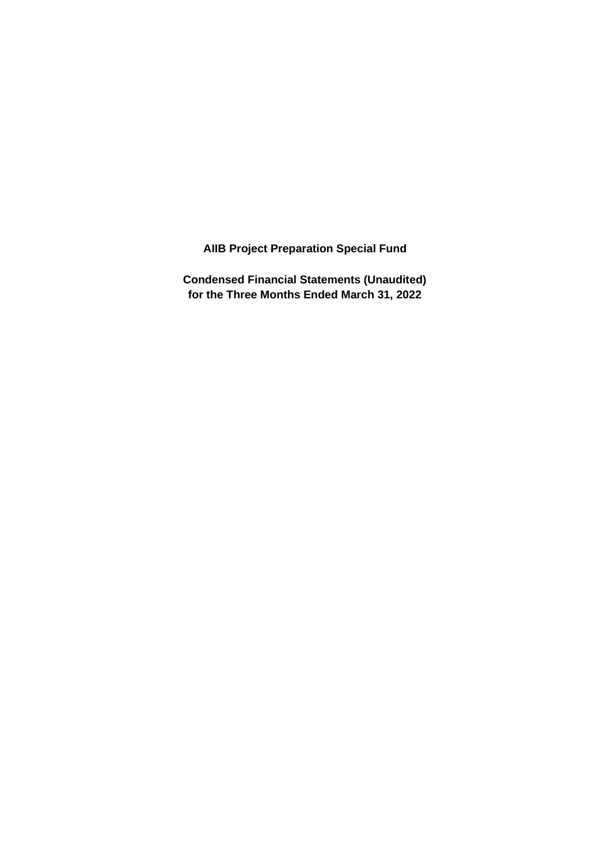**AIIB Project Preparation Special Fund**

**Condensed Financial Statements (Unaudited) for the Three Months Ended March 31, 2022**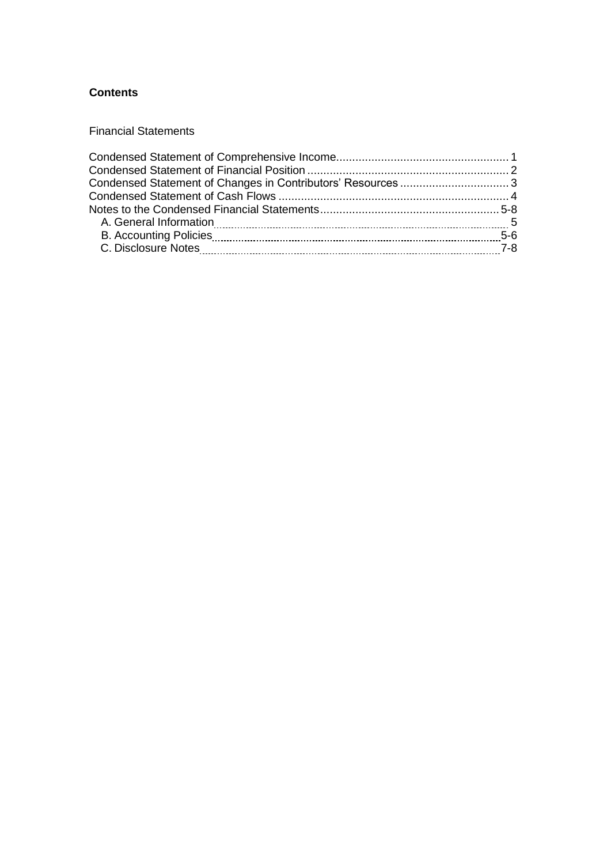# **Contents**

Financial Statements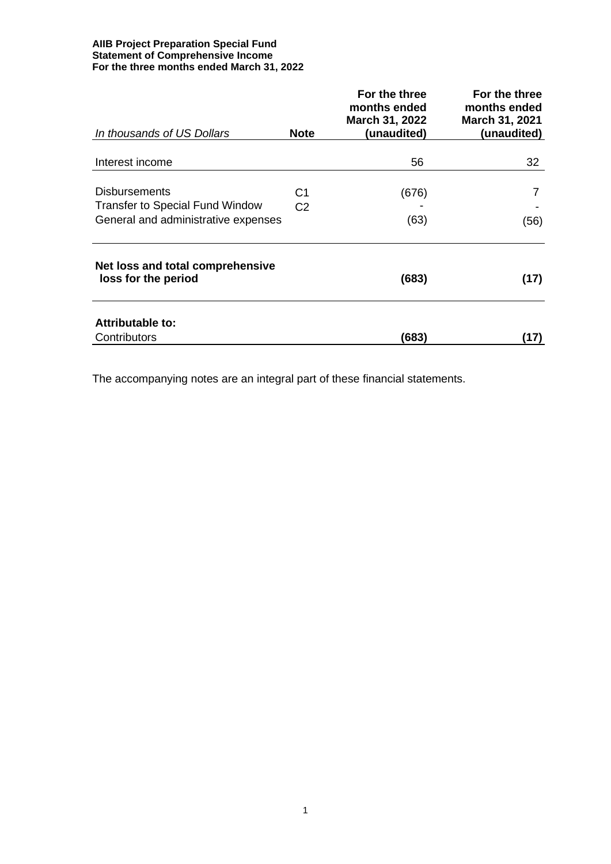#### **AIIB Project Preparation Special Fund Statement of Comprehensive Income For the three months ended March 31, 2022**

| In thousands of US Dollars                              | <b>Note</b>    | For the three<br>months ended<br>March 31, 2022<br>(unaudited) | For the three<br>months ended<br><b>March 31, 2021</b><br>(unaudited) |
|---------------------------------------------------------|----------------|----------------------------------------------------------------|-----------------------------------------------------------------------|
|                                                         |                |                                                                |                                                                       |
| Interest income                                         |                | 56                                                             | 32                                                                    |
| <b>Disbursements</b>                                    | C1             | (676)                                                          |                                                                       |
| <b>Transfer to Special Fund Window</b>                  | C <sub>2</sub> |                                                                |                                                                       |
| General and administrative expenses                     |                | (63)                                                           | (56)                                                                  |
| Net loss and total comprehensive<br>loss for the period |                | (683)                                                          | (17)                                                                  |
| Attributable to:<br>Contributors                        |                | (683)                                                          | (17)                                                                  |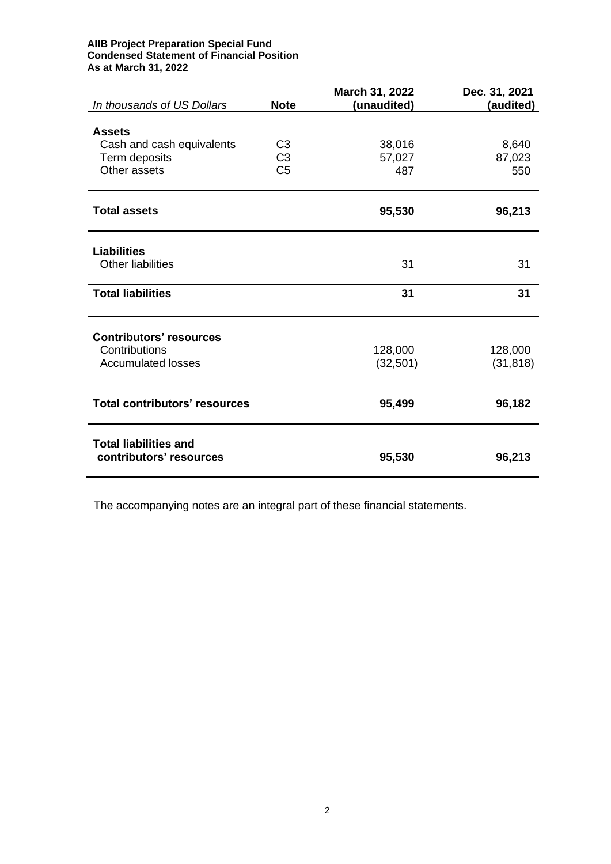#### **AIIB Project Preparation Special Fund Condensed Statement of Financial Position As at March 31, 2022**

| In thousands of US Dollars                              | <b>Note</b>    | March 31, 2022<br>(unaudited) | Dec. 31, 2021<br>(audited) |
|---------------------------------------------------------|----------------|-------------------------------|----------------------------|
|                                                         |                |                               |                            |
| <b>Assets</b>                                           |                |                               |                            |
| Cash and cash equivalents                               | C <sub>3</sub> | 38,016                        | 8,640                      |
| Term deposits                                           | C <sub>3</sub> | 57,027                        | 87,023                     |
| Other assets                                            | C <sub>5</sub> | 487                           | 550                        |
| <b>Total assets</b>                                     |                | 95,530                        | 96,213                     |
| <b>Liabilities</b>                                      |                |                               |                            |
| Other liabilities                                       |                | 31                            | 31                         |
| <b>Total liabilities</b>                                |                | 31                            | 31                         |
| <b>Contributors' resources</b>                          |                |                               |                            |
| Contributions                                           |                | 128,000                       | 128,000                    |
| <b>Accumulated losses</b>                               |                | (32, 501)                     | (31, 818)                  |
| <b>Total contributors' resources</b>                    |                | 95,499                        | 96,182                     |
| <b>Total liabilities and</b><br>contributors' resources |                | 95,530                        | 96,213                     |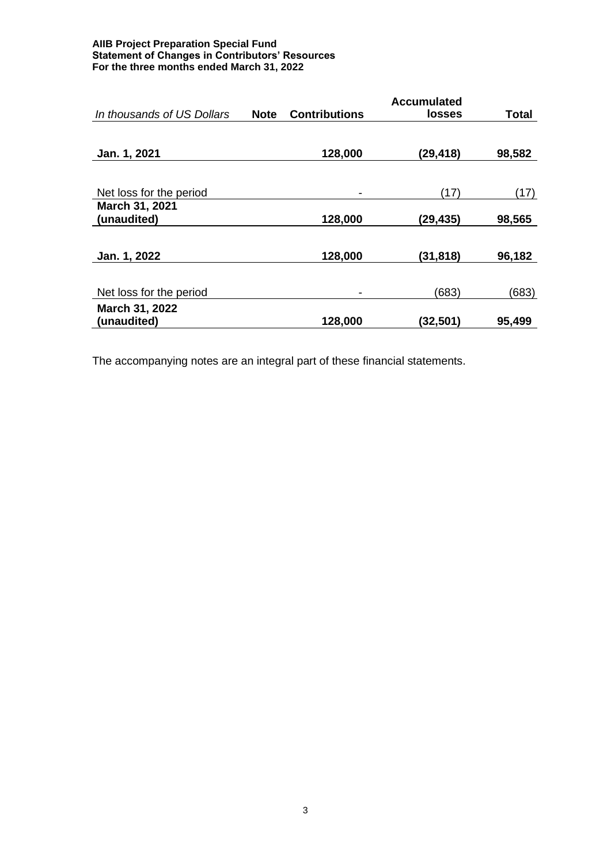#### **AIIB Project Preparation Special Fund Statement of Changes in Contributors' Resources For the three months ended March 31, 2022**

| In thousands of US Dollars | <b>Note</b> | <b>Contributions</b> | <b>Accumulated</b><br><b>losses</b> | <b>Total</b> |
|----------------------------|-------------|----------------------|-------------------------------------|--------------|
|                            |             |                      |                                     |              |
|                            |             |                      |                                     |              |
| Jan. 1, 2021               |             | 128,000              | (29, 418)                           | 98,582       |
|                            |             |                      |                                     |              |
| Net loss for the period    |             |                      | (17)                                | (17)         |
| <b>March 31, 2021</b>      |             |                      |                                     |              |
| (unaudited)                |             | 128,000              | (29, 435)                           | 98,565       |
|                            |             |                      |                                     |              |
| Jan. 1, 2022               |             | 128,000              | (31,818)                            | 96,182       |
|                            |             |                      |                                     |              |
| Net loss for the period    |             |                      | (683)                               | (683)        |
| March 31, 2022             |             |                      |                                     |              |
| (unaudited)                |             | 128,000              | (32,501)                            | 95,499       |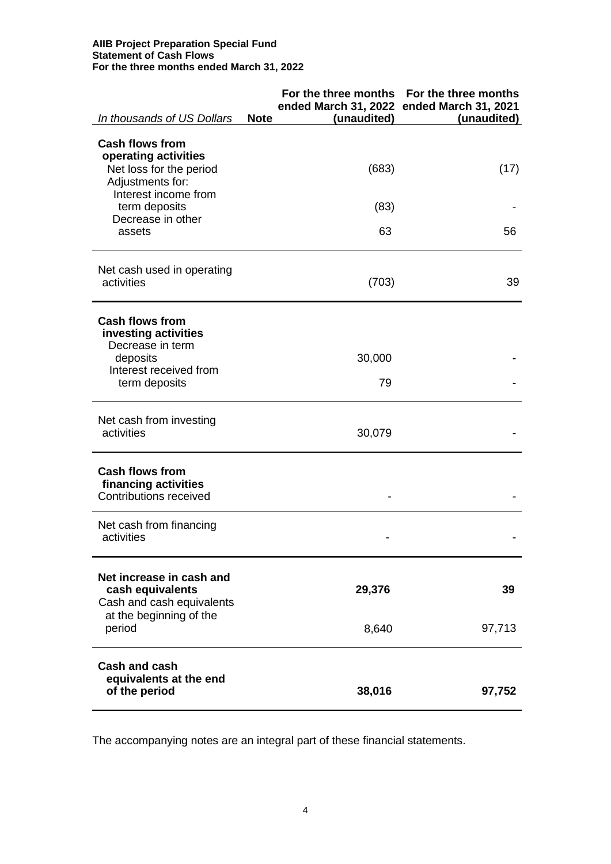#### **AIIB Project Preparation Special Fund Statement of Cash Flows For the three months ended March 31, 2022**

| In thousands of US Dollars                                                                                            | <b>Note</b><br>(unaudited) | For the three months For the three months<br>ended March 31, 2022 ended March 31, 2021<br>(unaudited) |
|-----------------------------------------------------------------------------------------------------------------------|----------------------------|-------------------------------------------------------------------------------------------------------|
| <b>Cash flows from</b><br>operating activities<br>Net loss for the period<br>Adjustments for:<br>Interest income from | (683)                      | (17)                                                                                                  |
| term deposits<br>Decrease in other<br>assets                                                                          | (83)<br>63                 | 56                                                                                                    |
| Net cash used in operating<br>activities                                                                              | (703)                      | 39                                                                                                    |
| <b>Cash flows from</b><br>investing activities<br>Decrease in term                                                    |                            |                                                                                                       |
| deposits<br>Interest received from<br>term deposits                                                                   | 30,000<br>79               |                                                                                                       |
| Net cash from investing<br>activities                                                                                 | 30,079                     |                                                                                                       |
| <b>Cash flows from</b><br>financing activities<br><b>Contributions received</b>                                       |                            |                                                                                                       |
| Net cash from financing<br>activities                                                                                 |                            |                                                                                                       |
| Net increase in cash and<br>cash equivalents<br>Cash and cash equivalents<br>at the beginning of the                  | 29,376                     | 39                                                                                                    |
| period                                                                                                                | 8,640                      | 97,713                                                                                                |
| <b>Cash and cash</b><br>equivalents at the end<br>of the period                                                       | 38,016                     | 97,752                                                                                                |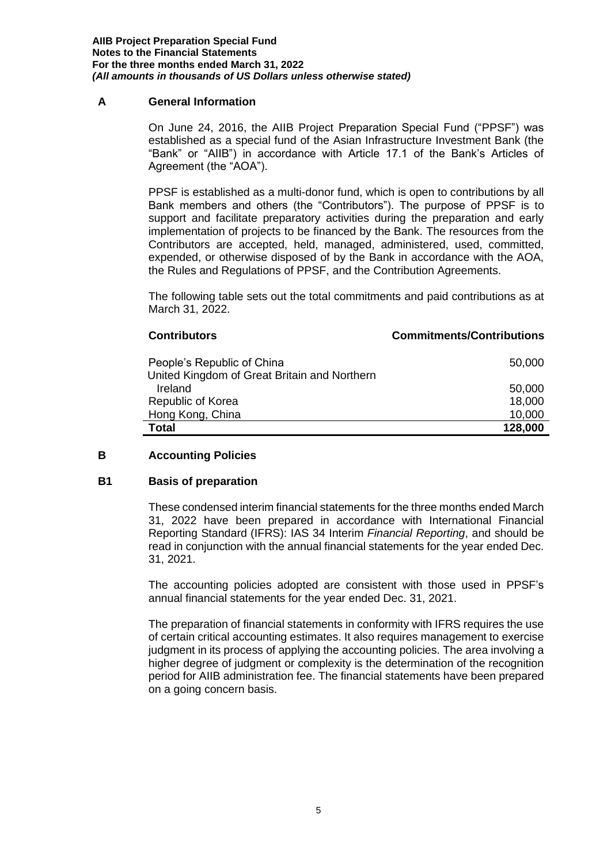## **A General Information**

On June 24, 2016, the AIIB Project Preparation Special Fund ("PPSF") was established as a special fund of the Asian Infrastructure Investment Bank (the "Bank" or "AIIB") in accordance with Article 17.1 of the Bank's Articles of Agreement (the "AOA").

PPSF is established as a multi-donor fund, which is open to contributions by all Bank members and others (the "Contributors"). The purpose of PPSF is to support and facilitate preparatory activities during the preparation and early implementation of projects to be financed by the Bank. The resources from the Contributors are accepted, held, managed, administered, used, committed, expended, or otherwise disposed of by the Bank in accordance with the AOA, the Rules and Regulations of PPSF, and the Contribution Agreements.

The following table sets out the total commitments and paid contributions as at March 31, 2022.

#### **Contributors Commitments/Contributions**

| People's Republic of China                   | 50,000  |
|----------------------------------------------|---------|
| United Kingdom of Great Britain and Northern |         |
| Ireland                                      | 50,000  |
| Republic of Korea                            | 18,000  |
| Hong Kong, China                             | 10,000  |
| <b>Total</b>                                 | 128,000 |

## **B Accounting Policies**

#### **B1 Basis of preparation**

These condensed interim financial statements for the three months ended March 31, 2022 have been prepared in accordance with International Financial Reporting Standard (IFRS): IAS 34 Interim *Financial Reporting*, and should be read in conjunction with the annual financial statements for the year ended Dec. 31, 2021.

The accounting policies adopted are consistent with those used in PPSF's annual financial statements for the year ended Dec. 31, 2021.

The preparation of financial statements in conformity with IFRS requires the use of certain critical accounting estimates. It also requires management to exercise judgment in its process of applying the accounting policies. The area involving a higher degree of judgment or complexity is the determination of the recognition period for AIIB administration fee. The financial statements have been prepared on a going concern basis.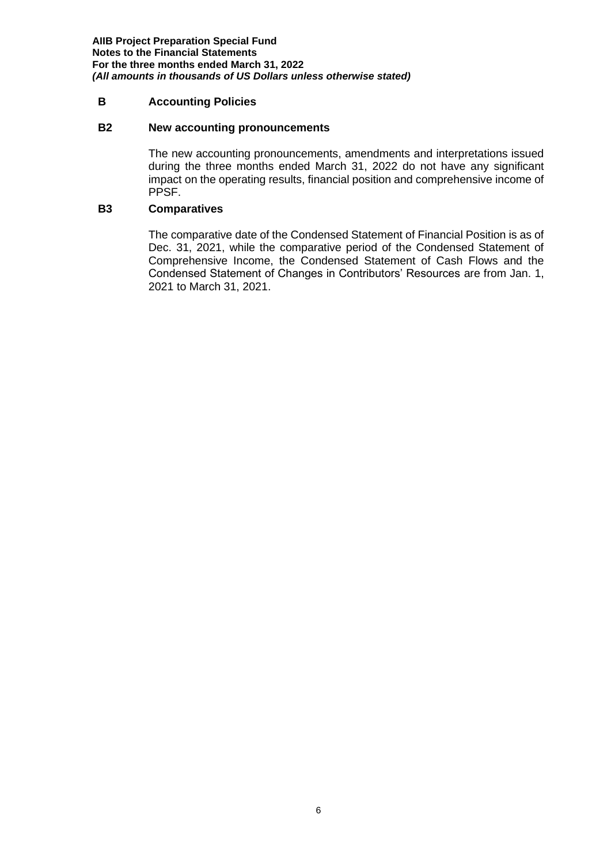**AIIB Project Preparation Special Fund Notes to the Financial Statements For the three months ended March 31, 2022** *(All amounts in thousands of US Dollars unless otherwise stated)*

## **B Accounting Policies**

#### **B2 New accounting pronouncements**

The new accounting pronouncements, amendments and interpretations issued during the three months ended March 31, 2022 do not have any significant impact on the operating results, financial position and comprehensive income of PPSF.

## **B3 Comparatives**

The comparative date of the Condensed Statement of Financial Position is as of Dec. 31, 2021, while the comparative period of the Condensed Statement of Comprehensive Income, the Condensed Statement of Cash Flows and the Condensed Statement of Changes in Contributors' Resources are from Jan. 1, 2021 to March 31, 2021.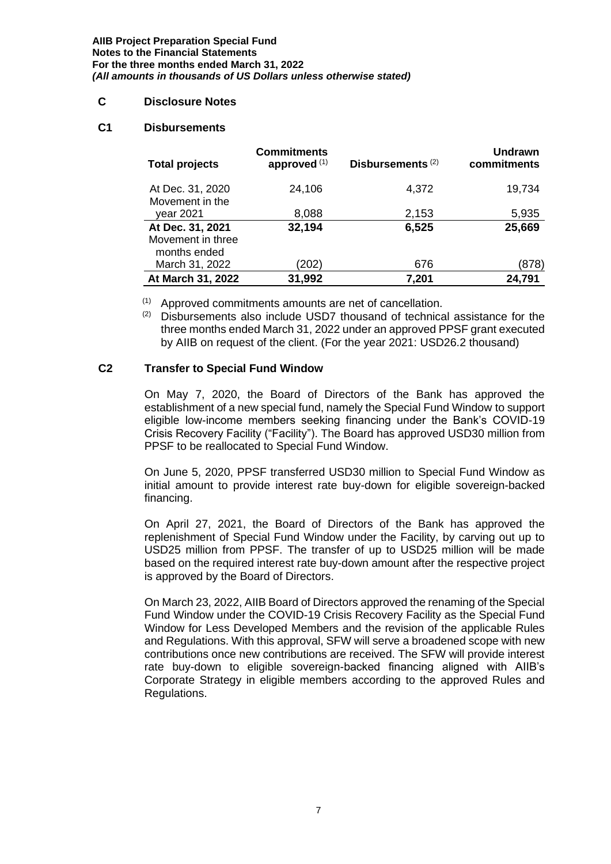**AIIB Project Preparation Special Fund Notes to the Financial Statements For the three months ended March 31, 2022** *(All amounts in thousands of US Dollars unless otherwise stated)*

### **C Disclosure Notes**

### **C1 Disbursements**

| <b>Total projects</b>                                 | <b>Commitments</b><br>approved $(1)$ | Disbursements <sup>(2)</sup> | <b>Undrawn</b><br>commitments |
|-------------------------------------------------------|--------------------------------------|------------------------------|-------------------------------|
| At Dec. 31, 2020<br>Movement in the                   | 24,106                               | 4,372                        | 19,734                        |
| year 2021                                             | 8,088                                | 2,153                        | 5,935                         |
| At Dec. 31, 2021<br>Movement in three<br>months ended | 32,194                               | 6,525                        | 25,669                        |
| March 31, 2022                                        | (202)                                | 676                          | (878)                         |
| At March 31, 2022                                     | 31,992                               | 7,201                        | 24,791                        |

(1) Approved commitments amounts are net of cancellation.

(2) Disbursements also include USD7 thousand of technical assistance for the three months ended March 31, 2022 under an approved PPSF grant executed by AIIB on request of the client. (For the year 2021: USD26.2 thousand)

## **C2 Transfer to Special Fund Window**

On May 7, 2020, the Board of Directors of the Bank has approved the establishment of a new special fund, namely the Special Fund Window to support eligible low-income members seeking financing under the Bank's COVID-19 Crisis Recovery Facility ("Facility"). The Board has approved USD30 million from PPSF to be reallocated to Special Fund Window.

On June 5, 2020, PPSF transferred USD30 million to Special Fund Window as initial amount to provide interest rate buy-down for eligible sovereign-backed financing.

On April 27, 2021, the Board of Directors of the Bank has approved the replenishment of Special Fund Window under the Facility, by carving out up to USD25 million from PPSF. The transfer of up to USD25 million will be made based on the required interest rate buy-down amount after the respective project is approved by the Board of Directors.

On March 23, 2022, AIIB Board of Directors approved the renaming of the Special Fund Window under the COVID-19 Crisis Recovery Facility as the Special Fund Window for Less Developed Members and the revision of the applicable Rules and Regulations. With this approval, SFW will serve a broadened scope with new contributions once new contributions are received. The SFW will provide interest rate buy-down to eligible sovereign-backed financing aligned with AIIB's Corporate Strategy in eligible members according to the approved Rules and Regulations.